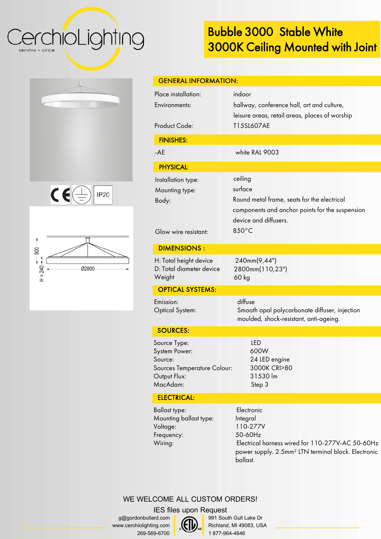CerchioLighting cerchio = circle

## **Bubble 3000 Stable White 3000K Ceiling Mounted with Joint**

| $c \in \mathbb{Z}$<br>IP20 |  |
|----------------------------|--|





| <b>GENERAL INFORMATION:</b>                                                                         |                                                                                                                                                        |  |
|-----------------------------------------------------------------------------------------------------|--------------------------------------------------------------------------------------------------------------------------------------------------------|--|
| Place installation:<br>Environments:<br><b>Product Code:</b>                                        | indoor<br>hallway, conference hall, art and culture,<br>leisure areas, retail areas, places of worship<br>T15SL607AE                                   |  |
| <b>FINISHES:</b>                                                                                    |                                                                                                                                                        |  |
| $-AE$                                                                                               | white RAL 9003                                                                                                                                         |  |
| <b>PHYSICAL:</b>                                                                                    |                                                                                                                                                        |  |
| Installation type:<br>Mounting type:<br>Body:<br>Glow wire resistant:                               | ceiling<br>surface<br>Round metal frame, seats for the electrical<br>components and anchor points for the suspension<br>device and diffusers.<br>850°C |  |
| <b>DIMENSIONS:</b>                                                                                  |                                                                                                                                                        |  |
| H: Total height device<br>D: Total diameter device<br>Weight                                        | 240mm(9,44")<br>2800mm(110,23")<br>60 kg                                                                                                               |  |
| <b>OPTICAL SYSTEMS:</b>                                                                             |                                                                                                                                                        |  |
| Emission:<br><b>Optical System:</b>                                                                 | diffuse<br>Smooth opal polycarbonate diffuser, injection<br>moulded, shock-resistant, anti-ageing.                                                     |  |
| <b>SOURCES:</b>                                                                                     |                                                                                                                                                        |  |
| Source Type:<br>System Power:<br>Source:<br>Sources Temperature Colour:<br>Output Flux:<br>MacAdam: | <b>LED</b><br>600W<br>24 LED engine<br>3000K CRI>80<br>31530 lm<br>Step 3                                                                              |  |
| <b>ELECTRICAL:</b>                                                                                  |                                                                                                                                                        |  |

Ballast type: Mounting ballast type: Voltage: Frequency: Wiring:

Electronic Integral 110-277V 50-60Hz Electrical harness wired for 110-277V-AC 50-60Hz power supply. 2.5mm² LTN terminal block. Electronic ballast.